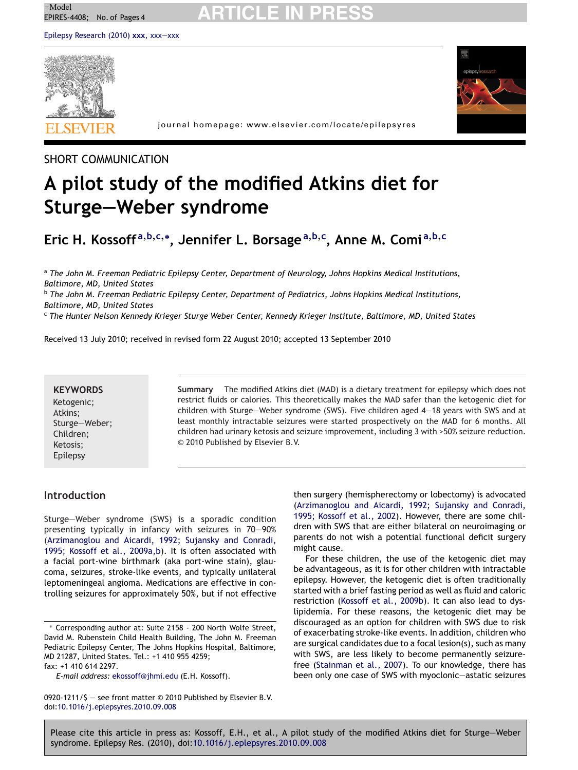# $+$ Model<br>EPIRES-4408; No. of Pages 4 **ARTICLE IN PRESS**

[Epilepsy Research \(2010\)](dx.doi.org/10.1016/j.eplepsyres.2010.09.008) **xxx**, xxx—xxx





journal homepage: www.elsevier.com/locate/epilepsyres

### SHORT COMMUNICATION

# **A pilot study of the modified Atkins diet for Sturge—Weber syndrome**

## **Eric H. Kossoff <sup>a</sup>,b,c,<sup>∗</sup> , Jennifer L. Borsage<sup>a</sup>,b,<sup>c</sup> , Anne M. Comi <sup>a</sup>,b,<sup>c</sup>**

<sup>a</sup> *The John M. Freeman Pediatric Epilepsy Center, Department of Neurology, Johns Hopkins Medical Institutions, Baltimore, MD, United States*

<sup>b</sup> *The John M. Freeman Pediatric Epilepsy Center, Department of Pediatrics, Johns Hopkins Medical Institutions, Baltimore, MD, United States*

<sup>c</sup> *The Hunter Nelson Kennedy Krieger Sturge Weber Center, Kennedy Krieger Institute, Baltimore, MD, United States*

Received 13 July 2010; received in revised form 22 August 2010; accepted 13 September 2010

### **KEYWORDS**

Ketogenic; Atkins; Sturge—Weber; Children; Ketosis; Epilepsy

**Summary** The modified Atkins diet (MAD) is a dietary treatment for epilepsy which does not restrict fluids or calories. This theoretically makes the MAD safer than the ketogenic diet for children with Sturge—Weber syndrome (SWS). Five children aged 4—18 years with SWS and at least monthly intractable seizures were started prospectively on the MAD for 6 months. All children had urinary ketosis and seizure improvement, including 3 with >50% seizure reduction. © 2010 Published by Elsevier B.V.

#### **Introduction**

Sturge—Weber syndrome (SWS) is a sporadic condition presenting typically in infancy with seizures in 70—90% ([Arzimanoglou and Aicardi, 1992; Sujansky and Conradi,](#page-3-0) [1995; Kossoff et al., 2009a,b\).](#page-3-0) It is often associated with a facial port-wine birthmark (aka port-wine stain), glaucoma, seizures, stroke-like events, and typically unilateral leptomeningeal angioma. Medications are effective in controlling seizures for approximately 50%, but if not effective

then surgery (hemispherectomy or lobectomy) is advocated ([Arzimanoglou and Aicardi, 1992; Sujansky and Conradi,](#page-3-0) [1995; Kossoff et al., 2002\).](#page-3-0) However, there are some children with SWS that are either bilateral on neuroimaging or parents do not wish a potential functional deficit surgery might cause.

For these children, the use of the ketogenic diet may be advantageous, as it is for other children with intractable epilepsy. However, the ketogenic diet is often traditionally started with a brief fasting period as well as fluid and caloric restriction [\(Kossoff et al., 2009b\).](#page-3-0) It can also lead to dyslipidemia. For these reasons, the ketogenic diet may be discouraged as an option for children with SWS due to risk of exacerbating stroke-like events. In addition, children who are surgical candidates due to a focal lesion(s), such as many with SWS, are less likely to become permanently seizurefree ([Stainman et al., 2007\).](#page-3-0) To our knowledge, there has been only one case of SWS with myoclonic—astatic seizures

<sup>∗</sup> Corresponding author at: Suite 2158 - 200 North Wolfe Street, David M. Rubenstein Child Health Building, The John M. Freeman Pediatric Epilepsy Center, The Johns Hopkins Hospital, Baltimore, MD 21287, United States. Tel.: +1 410 955 4259;

fax: +1 410 614 2297.

*E-mail address:* [ekossoff@jhmi.edu](mailto:ekossoff@jhmi.edu) (E.H. Kossoff).

<sup>0920-1211/\$ —</sup> see front matter © 2010 Published by Elsevier B.V. doi[:10.1016/j.eplepsyres.2010.09.008](dx.doi.org/10.1016/j.eplepsyres.2010.09.008)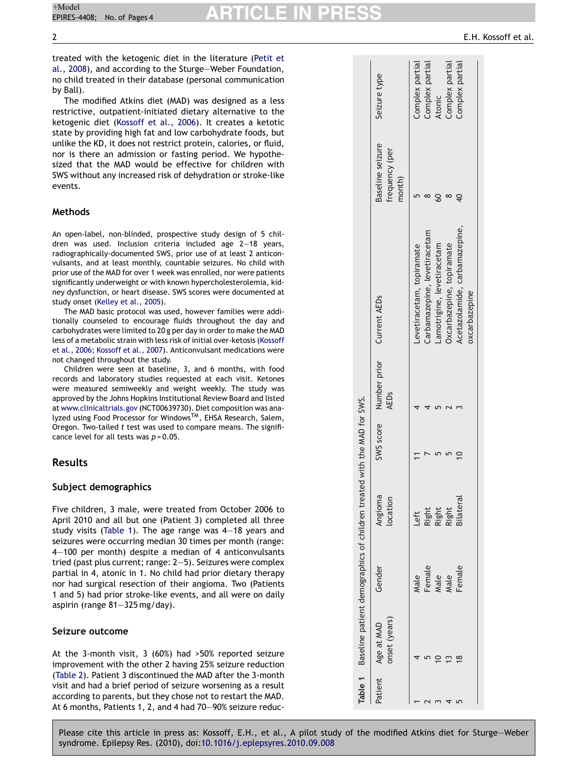# $+$ Model<br>EPIRES-4408; No. of Pages 4 **ARTICLE IN PRESS**

treated with the ketogenic diet in the literature ([Petit et](#page-3-0) [al., 2008\),](#page-3-0) and according to the Sturge—Weber Foundation, no child treated in their database (personal communication by Ball).

The modified Atkins diet (MAD) was designed as a less restrictive, outpatient-initiated dietary alternative to the ketogenic diet [\(Kossoff et al., 2006\).](#page-3-0) It creates a ketotic state by providing high fat and low carbohydrate foods, but unlike the KD, it does not restrict protein, calories, or fluid, nor is there an admission or fasting period. We hypothesized that the MAD would be effective for children with SWS without any increased risk of dehydration or stroke-like events.

#### **Methods**

An open-label, non-blinded, prospective study design of 5 children was used. Inclusion criteria included age 2—18 years, radiographically-documented SWS, prior use of at least 2 anticonvulsants, and at least monthly, countable seizures. No child with prior use of the MAD for over 1 week was enrolled, nor were patients significantly underweight or with known hypercholesterolemia, kidney dysfunction, or heart disease. SWS scores were documented at study onset [\(Kelley et al., 2005\).](#page-3-0)

The MAD basic protocol was used, however families were additionally counseled to encourage fluids throughout the day and carbohydrates were limited to 20 g per day in order to make the MAD less of a metabolic strain with less risk of initial over-ketosis ([Kossoff](#page-3-0) [et al., 2006; Kossoff et al., 2007\).](#page-3-0) Anticonvulsant medications were not changed throughout the study.

Children were seen at baseline, 3, and 6 months, with food records and laboratory studies requested at each visit. Ketones were measured semiweekly and weight weekly. The study was approved by the Johns Hopkins Institutional Review Board and listed at [www.clinicaltrials.gov](http://www.clinicaltrials.gov/) (NCT00639730). Diet composition was analyzed using Food Processor for WindowsTM, EHSA Research, Salem, Oregon. Two-tailed *t* test was used to compare means. The significance level for all tests was *p* = 0.05.

#### **Results**

#### **Subject demographics**

Five children, 3 male, were treated from October 2006 to April 2010 and all but one (Patient 3) completed all three study visits (Table 1). The age range was 4—18 years and seizures were occurring median 30 times per month (range: 4—100 per month) despite a median of 4 anticonvulsants tried (past plus current; range: 2—5). Seizures were complex partial in 4, atonic in 1. No child had prior dietary therapy nor had surgical resection of their angioma. Two (Patients 1 and 5) had prior stroke-like events, and all were on daily aspirin (range 81—325 mg/day).

#### **Seizure outcome**

At the 3-month visit, 3 (60%) had >50% reported seizure improvement with the other 2 having 25% seizure reduction [\(Table 2\).](#page-2-0) Patient 3 discontinued the MAD after the 3-month visit and had a brief period of seizure worsening as a result according to parents, but they chose not to restart the MAD. At 6 months, Patients 1, 2, and 4 had 70—90% seizure reduc-

|         |                             | Table 1 Baseline patient demographics of children treated with the MAD for SWS. |                         |                                                         |                               |                                              |                 |
|---------|-----------------------------|---------------------------------------------------------------------------------|-------------------------|---------------------------------------------------------|-------------------------------|----------------------------------------------|-----------------|
| Patient | onset (years)<br>Age at MAD | Gender                                                                          | Angioma<br>ocation      | SWS score Number prior Current AEDs<br>AED <sub>s</sub> |                               | Baseline seizure<br>frequency (per<br>month) | Seizure type    |
|         |                             | Male                                                                            | Left                    |                                                         | evetiracetam, topiramate      |                                              | Complex partial |
|         |                             | Female                                                                          |                         |                                                         | Carbamazepine, levetiracetam  |                                              | Complex partial |
|         |                             | Male                                                                            | Right<br>Right<br>Right |                                                         | Lamotrigine, levetiracetam    |                                              | Atonic          |
|         |                             | Male                                                                            |                         |                                                         | Oxcarbazepine, topiramate     |                                              | Complex partial |
|         | $\frac{8}{1}$               | Female                                                                          | <b>Bilateral</b>        |                                                         | Acetazolamide, carbamazepine, |                                              | Complex partial |
|         |                             |                                                                                 |                         |                                                         | oxcarbazepine                 |                                              |                 |
|         |                             |                                                                                 |                         |                                                         |                               |                                              |                 |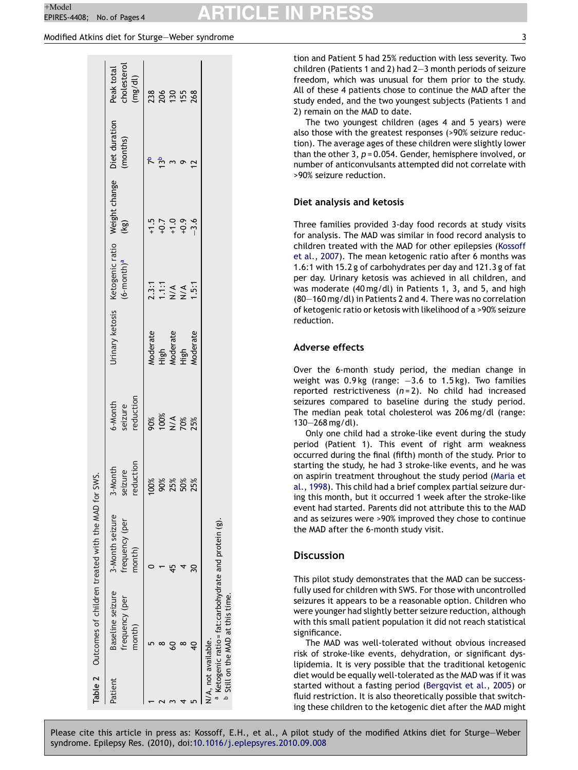# <span id="page-2-0"></span> $+$ Model<br>EPIRES-4408; No. of Pages 4 **ARTICLE IN PRESS**

#### Modified Atkins diet for Sturge—Weber syndrome 3

|         | Table 2 Outcomes of children treated with the MAD for SWS.                                                                   |                                             |                                 |                                 |                              |                                                      |                                        |                                      |
|---------|------------------------------------------------------------------------------------------------------------------------------|---------------------------------------------|---------------------------------|---------------------------------|------------------------------|------------------------------------------------------|----------------------------------------|--------------------------------------|
| Patient | Baseline seizure<br>frequency (per<br>month)                                                                                 | 3-Month seizure<br>frequency (per<br>month) | reduction<br>3-Month<br>seizure | 6-Month<br>seizure<br>reduction |                              | Urinary ketosis Ketogenic ratio<br>$(6$ -month $)^a$ | To Weight change Diet duration<br>(kg) | cholesterol<br>Peak total<br>(mg/dl) |
|         |                                                                                                                              |                                             | 100%                            |                                 |                              |                                                      |                                        |                                      |
|         |                                                                                                                              |                                             | 80%                             | %<br>೧೦ ≾ ೨<br>೧೦ ನ             | Moderate<br>High<br>Moderate | 2.3:1<br>1.1:1<br>N/A                                |                                        | 23<br>205<br>130                     |
|         |                                                                                                                              |                                             | 25%                             |                                 |                              |                                                      |                                        |                                      |
|         |                                                                                                                              |                                             | 50%                             |                                 | tigh                         | $\frac{4}{2}$                                        |                                        | 155                                  |
|         |                                                                                                                              |                                             | 25%                             | 25%                             | <b>Aoderate</b>              | 1.5:1                                                |                                        | 268                                  |
|         | a Ketogenic ratio = fat: carbohydrate and protein (g).<br><sup>b</sup> Still on the MAD at this time.<br>N/A, not available. |                                             |                                 |                                 |                              |                                                      |                                        |                                      |

tion and Patient 5 had 25% reduction with less severity. Two children (Patients 1 and 2) had 2—3 month periods of seizure freedom, which was unusual for them prior to the study. All of these 4 patients chose to continue the MAD after the study ended, and the two youngest subjects (Patients 1 and 2) remain on the MAD to date.

The two youngest children (ages 4 and 5 years) were also those with the greatest responses (>90% seizure reduction). The average ages of these children were slightly lower than the other 3, *p* = 0.054. Gender, hemisphere involved, or number of anticonvulsants attempted did not correlate with >90% seizure reduction.

#### **Diet analysis and ketosis**

Three families provided 3-day food records at study visits for analysis. The MAD was similar in food record analysis to children treated with the MAD for other epilepsies [\(Kossoff](#page-3-0) [et al., 2007\).](#page-3-0) The mean ketogenic ratio after 6 months was 1.6:1 with 15.2 g of carbohydrates per day and 121.3 g of fat per day. Urinary ketosis was achieved in all children, and was moderate (40 mg/dl) in Patients 1, 3, and 5, and high (80—160 mg/dl) in Patients 2 and 4. There was no correlation of ketogenic ratio or ketosis with likelihood of a >90% seizure reduction.

#### **Adverse effects**

Over the 6-month study period, the median change in weight was 0.9 kg (range: -3.6 to 1.5 kg). Two families reported restrictiveness (*n* = 2). No child had increased seizures compared to baseline during the study period. The median peak total cholesterol was 206 mg/dl (range: 130—268 mg/dl).

Only one child had a stroke-like event during the study period (Patient 1). This event of right arm weakness occurred during the final (fifth) month of the study. Prior to starting the study, he had 3 stroke-like events, and he was on aspirin treatment throughout the study period [\(Maria et](#page-3-0) [al., 1998\).](#page-3-0) This child had a brief complex partial seizure during this month, but it occurred 1 week after the stroke-like event had started. Parents did not attribute this to the MAD and as seizures were >90% improved they chose to continue the MAD after the 6-month study visit.

#### **Discussion**

This pilot study demonstrates that the MAD can be successfully used for children with SWS. For those with uncontrolled seizures it appears to be a reasonable option. Children who were younger had slightly better seizure reduction, although with this small patient population it did not reach statistical significance.

The MAD was well-tolerated without obvious increased risk of stroke-like events, dehydration, or significant dyslipidemia. It is very possible that the traditional ketogenic diet would be equally well-tolerated as the MAD was if it was started without a fasting period [\(Bergqvist et al., 2005\)](#page-3-0) or fluid restriction. It is also theoretically possible that switching these children to the ketogenic diet after the MAD might